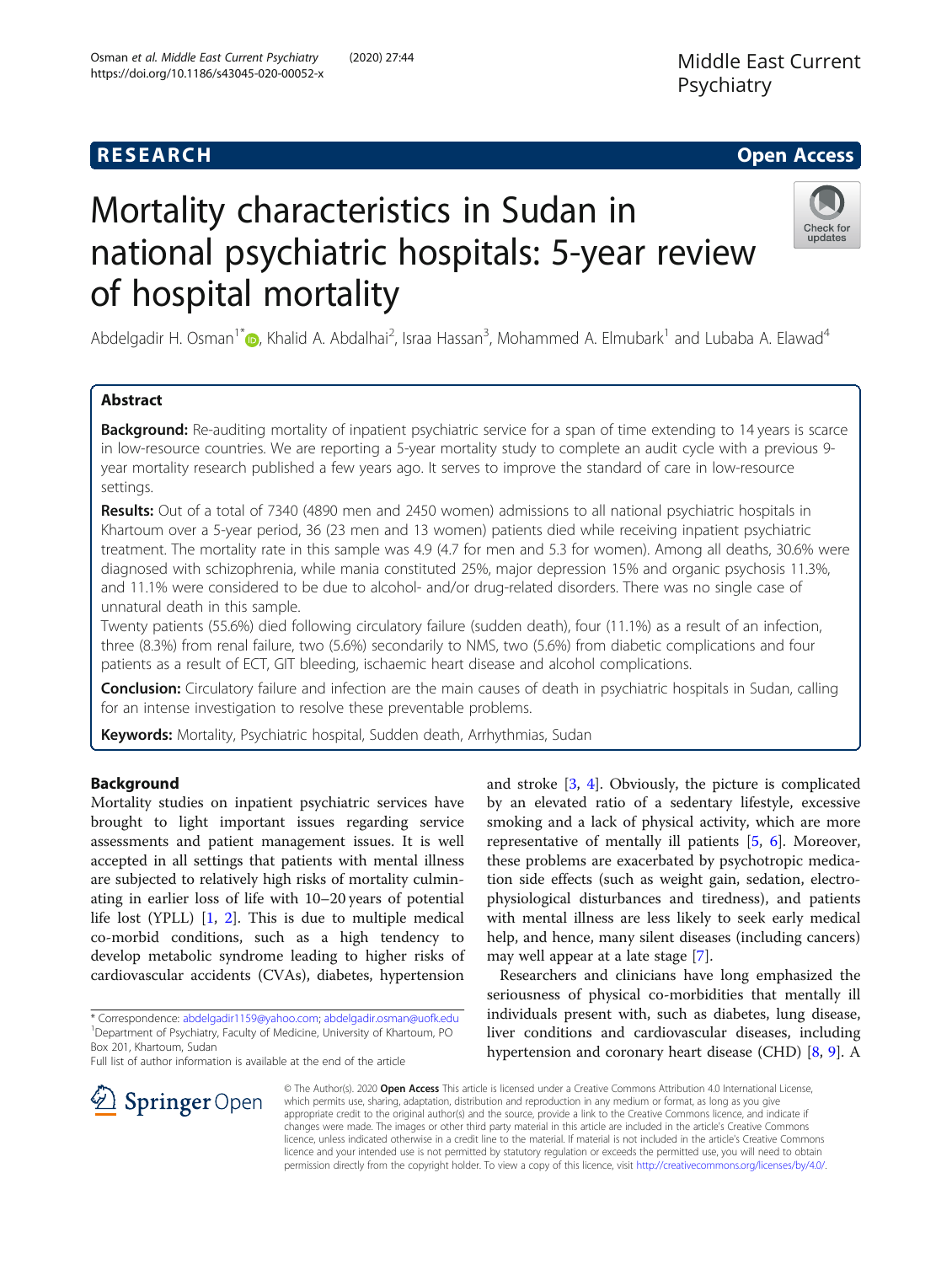# **RESEARCH CHE Open Access**

# Mortality characteristics in Sudan in national psychiatric hospitals: 5-year review of hospital mortality



Abdelgadir H. Osman<sup>1[\\*](http://orcid.org/0000-0001-6329-2811)</sup> (@, Khalid A. Abdalhai<sup>2</sup>, Israa Hassan<sup>3</sup>, Mohammed A. Elmubark<sup>1</sup> and Lubaba A. Elawad<sup>4</sup>

# Abstract

Background: Re-auditing mortality of inpatient psychiatric service for a span of time extending to 14 years is scarce in low-resource countries. We are reporting a 5-year mortality study to complete an audit cycle with a previous 9 year mortality research published a few years ago. It serves to improve the standard of care in low-resource settings.

Results: Out of a total of 7340 (4890 men and 2450 women) admissions to all national psychiatric hospitals in Khartoum over a 5-year period, 36 (23 men and 13 women) patients died while receiving inpatient psychiatric treatment. The mortality rate in this sample was 4.9 (4.7 for men and 5.3 for women). Among all deaths, 30.6% were diagnosed with schizophrenia, while mania constituted 25%, major depression 15% and organic psychosis 11.3%, and 11.1% were considered to be due to alcohol- and/or drug-related disorders. There was no single case of unnatural death in this sample.

Twenty patients (55.6%) died following circulatory failure (sudden death), four (11.1%) as a result of an infection, three (8.3%) from renal failure, two (5.6%) secondarily to NMS, two (5.6%) from diabetic complications and four patients as a result of ECT, GIT bleeding, ischaemic heart disease and alcohol complications.

Conclusion: Circulatory failure and infection are the main causes of death in psychiatric hospitals in Sudan, calling for an intense investigation to resolve these preventable problems.

Keywords: Mortality, Psychiatric hospital, Sudden death, Arrhythmias, Sudan

# Background

Mortality studies on inpatient psychiatric services have brought to light important issues regarding service assessments and patient management issues. It is well accepted in all settings that patients with mental illness are subjected to relatively high risks of mortality culminating in earlier loss of life with 10–20 years of potential life lost (YPLL) [\[1](#page-5-0), [2](#page-5-0)]. This is due to multiple medical co-morbid conditions, such as a high tendency to develop metabolic syndrome leading to higher risks of cardiovascular accidents (CVAs), diabetes, hypertension

Full list of author information is available at the end of the article

and stroke [\[3](#page-5-0), [4](#page-5-0)]. Obviously, the picture is complicated by an elevated ratio of a sedentary lifestyle, excessive smoking and a lack of physical activity, which are more representative of mentally ill patients [\[5](#page-5-0), [6\]](#page-5-0). Moreover, these problems are exacerbated by psychotropic medication side effects (such as weight gain, sedation, electrophysiological disturbances and tiredness), and patients with mental illness are less likely to seek early medical help, and hence, many silent diseases (including cancers) may well appear at a late stage [\[7\]](#page-6-0).

Researchers and clinicians have long emphasized the seriousness of physical co-morbidities that mentally ill individuals present with, such as diabetes, lung disease, liver conditions and cardiovascular diseases, including hypertension and coronary heart disease (CHD) [\[8,](#page-6-0) [9](#page-6-0)]. A



© The Author(s). 2020 Open Access This article is licensed under a Creative Commons Attribution 4.0 International License, which permits use, sharing, adaptation, distribution and reproduction in any medium or format, as long as you give appropriate credit to the original author(s) and the source, provide a link to the Creative Commons licence, and indicate if changes were made. The images or other third party material in this article are included in the article's Creative Commons licence, unless indicated otherwise in a credit line to the material. If material is not included in the article's Creative Commons licence and your intended use is not permitted by statutory regulation or exceeds the permitted use, you will need to obtain permission directly from the copyright holder. To view a copy of this licence, visit <http://creativecommons.org/licenses/by/4.0/>.

<sup>\*</sup> Correspondence: [abdelgadir1159@yahoo.com](mailto:abdelgadir1159@yahoo.com); [abdelgadir.osman@uofk.edu](mailto:abdelgadir.osman@uofk.edu) <sup>1</sup> <sup>1</sup> Department of Psychiatry, Faculty of Medicine, University of Khartoum, PO Box 201, Khartoum, Sudan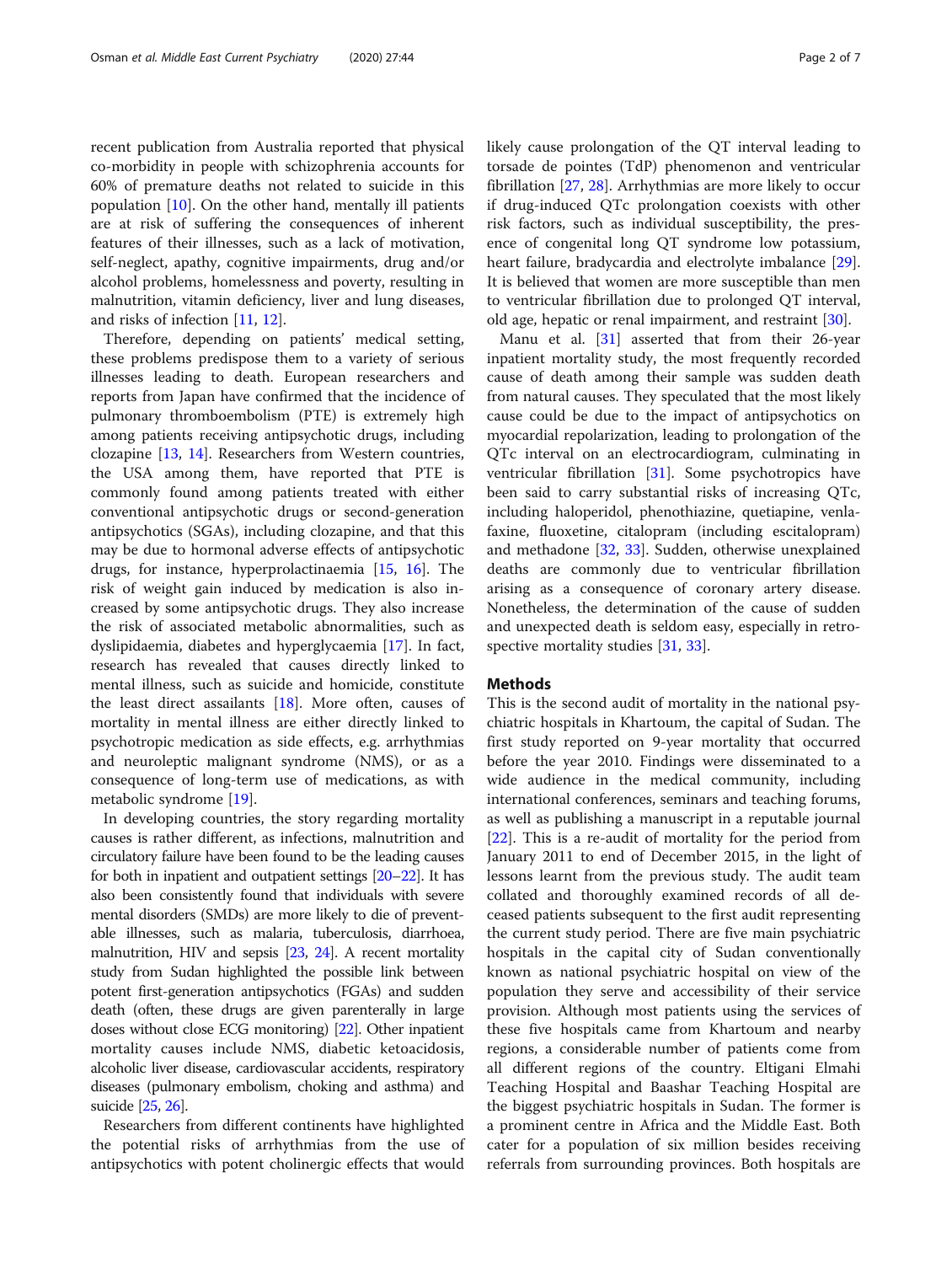recent publication from Australia reported that physical co-morbidity in people with schizophrenia accounts for 60% of premature deaths not related to suicide in this population  $[10]$  $[10]$ . On the other hand, mentally ill patients are at risk of suffering the consequences of inherent features of their illnesses, such as a lack of motivation, self-neglect, apathy, cognitive impairments, drug and/or alcohol problems, homelessness and poverty, resulting in malnutrition, vitamin deficiency, liver and lung diseases, and risks of infection [\[11](#page-6-0), [12\]](#page-6-0).

Therefore, depending on patients' medical setting, these problems predispose them to a variety of serious illnesses leading to death. European researchers and reports from Japan have confirmed that the incidence of pulmonary thromboembolism (PTE) is extremely high among patients receiving antipsychotic drugs, including clozapine [[13,](#page-6-0) [14](#page-6-0)]. Researchers from Western countries, the USA among them, have reported that PTE is commonly found among patients treated with either conventional antipsychotic drugs or second-generation antipsychotics (SGAs), including clozapine, and that this may be due to hormonal adverse effects of antipsychotic drugs, for instance, hyperprolactinaemia [[15](#page-6-0), [16\]](#page-6-0). The risk of weight gain induced by medication is also increased by some antipsychotic drugs. They also increase the risk of associated metabolic abnormalities, such as dyslipidaemia, diabetes and hyperglycaemia [[17](#page-6-0)]. In fact, research has revealed that causes directly linked to mental illness, such as suicide and homicide, constitute the least direct assailants [\[18](#page-6-0)]. More often, causes of mortality in mental illness are either directly linked to psychotropic medication as side effects, e.g. arrhythmias and neuroleptic malignant syndrome (NMS), or as a consequence of long-term use of medications, as with metabolic syndrome [[19\]](#page-6-0).

In developing countries, the story regarding mortality causes is rather different, as infections, malnutrition and circulatory failure have been found to be the leading causes for both in inpatient and outpatient settings [[20](#page-6-0)–[22](#page-6-0)]. It has also been consistently found that individuals with severe mental disorders (SMDs) are more likely to die of preventable illnesses, such as malaria, tuberculosis, diarrhoea, malnutrition, HIV and sepsis [\[23,](#page-6-0) [24](#page-6-0)]. A recent mortality study from Sudan highlighted the possible link between potent first-generation antipsychotics (FGAs) and sudden death (often, these drugs are given parenterally in large doses without close ECG monitoring) [\[22](#page-6-0)]. Other inpatient mortality causes include NMS, diabetic ketoacidosis, alcoholic liver disease, cardiovascular accidents, respiratory diseases (pulmonary embolism, choking and asthma) and suicide [\[25,](#page-6-0) [26\]](#page-6-0).

Researchers from different continents have highlighted the potential risks of arrhythmias from the use of antipsychotics with potent cholinergic effects that would likely cause prolongation of the QT interval leading to torsade de pointes (TdP) phenomenon and ventricular fibrillation [\[27](#page-6-0), [28](#page-6-0)]. Arrhythmias are more likely to occur if drug-induced QTc prolongation coexists with other risk factors, such as individual susceptibility, the presence of congenital long QT syndrome low potassium, heart failure, bradycardia and electrolyte imbalance [\[29](#page-6-0)]. It is believed that women are more susceptible than men to ventricular fibrillation due to prolonged QT interval, old age, hepatic or renal impairment, and restraint [[30\]](#page-6-0).

Manu et al. [[31\]](#page-6-0) asserted that from their 26-year inpatient mortality study, the most frequently recorded cause of death among their sample was sudden death from natural causes. They speculated that the most likely cause could be due to the impact of antipsychotics on myocardial repolarization, leading to prolongation of the QTc interval on an electrocardiogram, culminating in ventricular fibrillation [\[31\]](#page-6-0). Some psychotropics have been said to carry substantial risks of increasing QTc, including haloperidol, phenothiazine, quetiapine, venlafaxine, fluoxetine, citalopram (including escitalopram) and methadone [[32](#page-6-0), [33\]](#page-6-0). Sudden, otherwise unexplained deaths are commonly due to ventricular fibrillation arising as a consequence of coronary artery disease. Nonetheless, the determination of the cause of sudden and unexpected death is seldom easy, especially in retro-spective mortality studies [[31](#page-6-0), [33](#page-6-0)].

# **Methods**

This is the second audit of mortality in the national psychiatric hospitals in Khartoum, the capital of Sudan. The first study reported on 9-year mortality that occurred before the year 2010. Findings were disseminated to a wide audience in the medical community, including international conferences, seminars and teaching forums, as well as publishing a manuscript in a reputable journal [[22\]](#page-6-0). This is a re-audit of mortality for the period from January 2011 to end of December 2015, in the light of lessons learnt from the previous study. The audit team collated and thoroughly examined records of all deceased patients subsequent to the first audit representing the current study period. There are five main psychiatric hospitals in the capital city of Sudan conventionally known as national psychiatric hospital on view of the population they serve and accessibility of their service provision. Although most patients using the services of these five hospitals came from Khartoum and nearby regions, a considerable number of patients come from all different regions of the country. Eltigani Elmahi Teaching Hospital and Baashar Teaching Hospital are the biggest psychiatric hospitals in Sudan. The former is a prominent centre in Africa and the Middle East. Both cater for a population of six million besides receiving referrals from surrounding provinces. Both hospitals are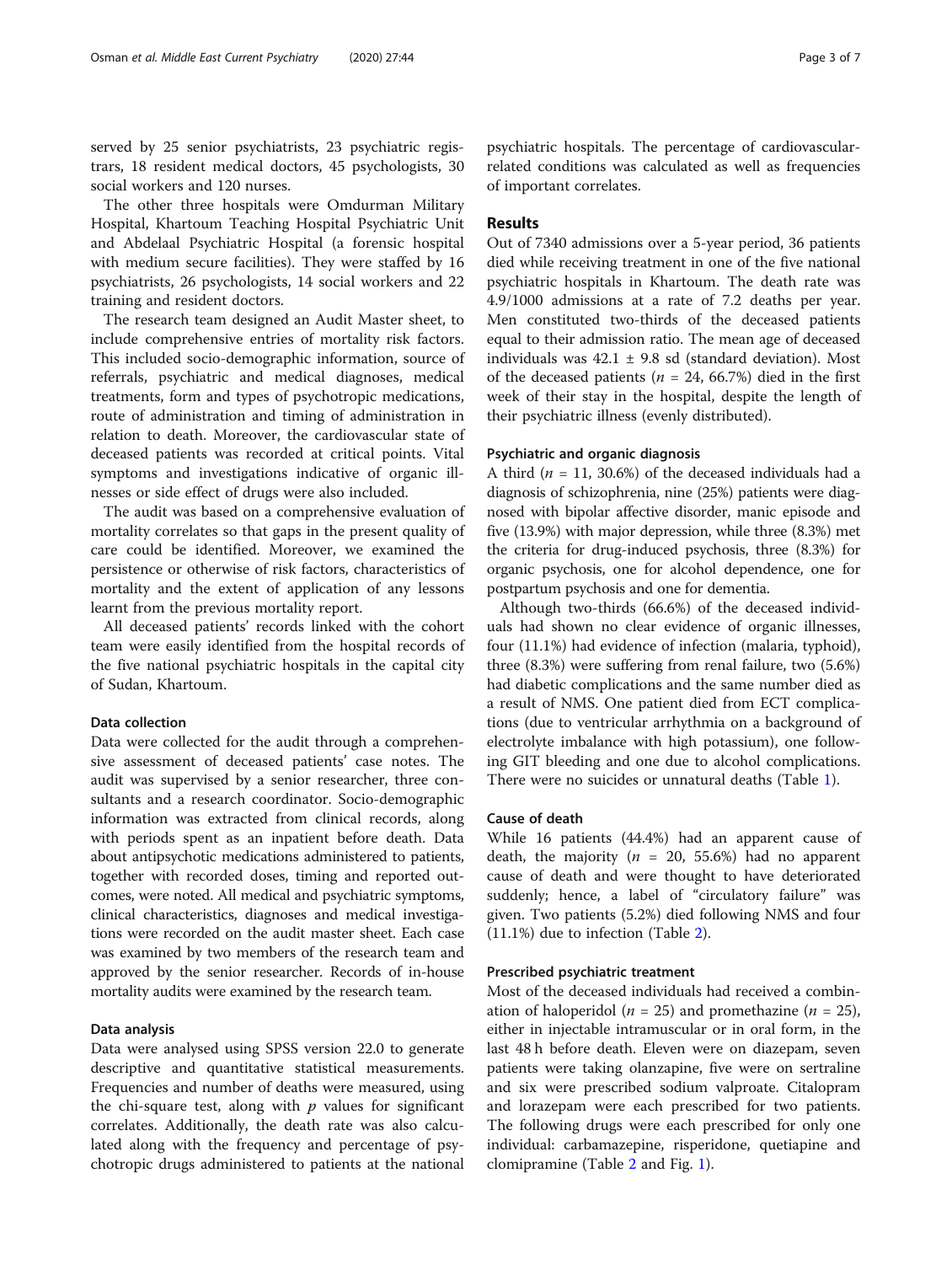served by 25 senior psychiatrists, 23 psychiatric registrars, 18 resident medical doctors, 45 psychologists, 30 social workers and 120 nurses.

The other three hospitals were Omdurman Military Hospital, Khartoum Teaching Hospital Psychiatric Unit and Abdelaal Psychiatric Hospital (a forensic hospital with medium secure facilities). They were staffed by 16 psychiatrists, 26 psychologists, 14 social workers and 22 training and resident doctors.

The research team designed an Audit Master sheet, to include comprehensive entries of mortality risk factors. This included socio-demographic information, source of referrals, psychiatric and medical diagnoses, medical treatments, form and types of psychotropic medications, route of administration and timing of administration in relation to death. Moreover, the cardiovascular state of deceased patients was recorded at critical points. Vital symptoms and investigations indicative of organic illnesses or side effect of drugs were also included.

The audit was based on a comprehensive evaluation of mortality correlates so that gaps in the present quality of care could be identified. Moreover, we examined the persistence or otherwise of risk factors, characteristics of mortality and the extent of application of any lessons learnt from the previous mortality report.

All deceased patients' records linked with the cohort team were easily identified from the hospital records of the five national psychiatric hospitals in the capital city of Sudan, Khartoum.

# Data collection

Data were collected for the audit through a comprehensive assessment of deceased patients' case notes. The audit was supervised by a senior researcher, three consultants and a research coordinator. Socio-demographic information was extracted from clinical records, along with periods spent as an inpatient before death. Data about antipsychotic medications administered to patients, together with recorded doses, timing and reported outcomes, were noted. All medical and psychiatric symptoms, clinical characteristics, diagnoses and medical investigations were recorded on the audit master sheet. Each case was examined by two members of the research team and approved by the senior researcher. Records of in-house mortality audits were examined by the research team.

#### Data analysis

Data were analysed using SPSS version 22.0 to generate descriptive and quantitative statistical measurements. Frequencies and number of deaths were measured, using the chi-square test, along with  $p$  values for significant correlates. Additionally, the death rate was also calculated along with the frequency and percentage of psychotropic drugs administered to patients at the national

psychiatric hospitals. The percentage of cardiovascularrelated conditions was calculated as well as frequencies of important correlates.

# Results

Out of 7340 admissions over a 5-year period, 36 patients died while receiving treatment in one of the five national psychiatric hospitals in Khartoum. The death rate was 4.9/1000 admissions at a rate of 7.2 deaths per year. Men constituted two-thirds of the deceased patients equal to their admission ratio. The mean age of deceased individuals was  $42.1 \pm 9.8$  sd (standard deviation). Most of the deceased patients ( $n = 24, 66.7\%$ ) died in the first week of their stay in the hospital, despite the length of their psychiatric illness (evenly distributed).

## Psychiatric and organic diagnosis

A third ( $n = 11, 30.6\%$ ) of the deceased individuals had a diagnosis of schizophrenia, nine (25%) patients were diagnosed with bipolar affective disorder, manic episode and five (13.9%) with major depression, while three (8.3%) met the criteria for drug-induced psychosis, three (8.3%) for organic psychosis, one for alcohol dependence, one for postpartum psychosis and one for dementia.

Although two-thirds (66.6%) of the deceased individuals had shown no clear evidence of organic illnesses, four (11.1%) had evidence of infection (malaria, typhoid), three (8.3%) were suffering from renal failure, two (5.6%) had diabetic complications and the same number died as a result of NMS. One patient died from ECT complications (due to ventricular arrhythmia on a background of electrolyte imbalance with high potassium), one following GIT bleeding and one due to alcohol complications. There were no suicides or unnatural deaths (Table [1](#page-3-0)).

# Cause of death

While 16 patients (44.4%) had an apparent cause of death, the majority ( $n = 20, 55.6\%$ ) had no apparent cause of death and were thought to have deteriorated suddenly; hence, a label of "circulatory failure" was given. Two patients (5.2%) died following NMS and four (11.1%) due to infection (Table [2\)](#page-3-0).

# Prescribed psychiatric treatment

Most of the deceased individuals had received a combination of haloperidol ( $n = 25$ ) and promethazine ( $n = 25$ ), either in injectable intramuscular or in oral form, in the last 48 h before death. Eleven were on diazepam, seven patients were taking olanzapine, five were on sertraline and six were prescribed sodium valproate. Citalopram and lorazepam were each prescribed for two patients. The following drugs were each prescribed for only one individual: carbamazepine, risperidone, quetiapine and clomipramine (Table [2](#page-3-0) and Fig. [1\)](#page-4-0).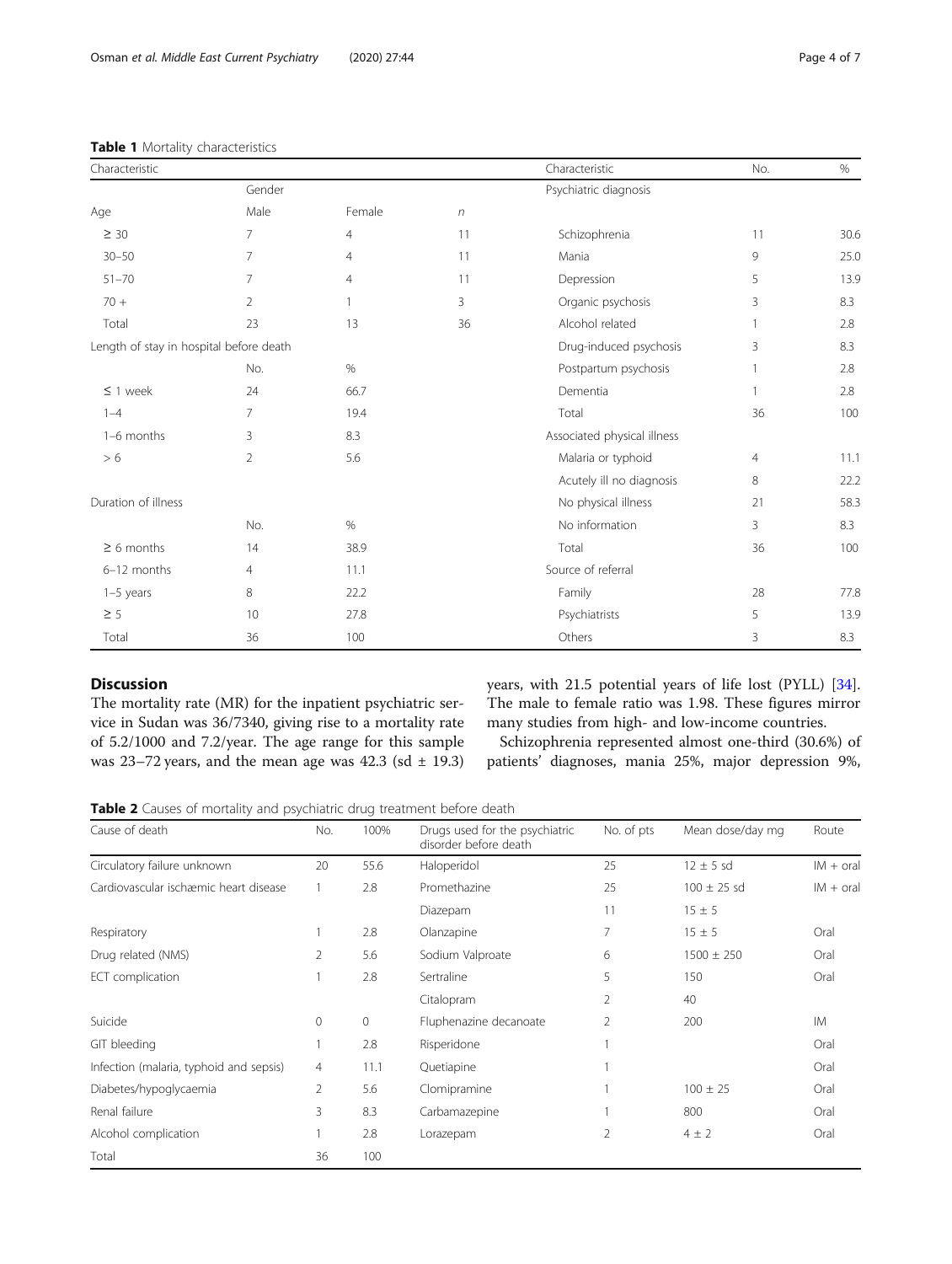Age and Male Female number of the Male

# <span id="page-3-0"></span>Table 1 Mortality characteristics

| $30 - 50$                               | 7   | $\overline{4}$ | 11 | Mania                       | 9              | 25.0 |
|-----------------------------------------|-----|----------------|----|-----------------------------|----------------|------|
| $51 - 70$                               |     | 4              | 11 | Depression                  | 5              | 13.9 |
| $70 +$                                  | 2   |                | 3  | Organic psychosis           | 3              | 8.3  |
| Total                                   | 23  | 13             | 36 | Alcohol related             |                | 2.8  |
| Length of stay in hospital before death |     |                |    | Drug-induced psychosis      | 3              | 8.3  |
|                                         | No. | %              |    | Postpartum psychosis        |                | 2.8  |
| $\leq$ 1 week                           | 24  | 66.7           |    | Dementia                    |                | 2.8  |
| $1 - 4$                                 |     | 19.4           |    | Total                       | 36             | 100  |
| 1-6 months                              | 3   | 8.3            |    | Associated physical illness |                |      |
| > 6                                     | 2   | 5.6            |    | Malaria or typhoid          | $\overline{4}$ | 11.1 |
|                                         |     |                |    | Acutely ill no diagnosis    | 8              | 22.2 |
| Duration of illness                     |     |                |    | No physical illness         | 21             | 58.3 |
|                                         | No. | %              |    | No information              | 3              | 8.3  |
| $\geq 6$ months                         | 14  | 38.9           |    | Total                       | 36             | 100  |

1–5 years 8 22.2 Family 28 77.8  $\geq$  5 13.9 10 27.8 Psychiatrists 5 5 13.9 Total 36 100 100 Others 3 3 8.3

Characteristic No. 2006 No. 2012 12:00 No. 2012 12:00 No. 2012 12:00 No. 2012 12:00 No. 2012 12:00 No. 2012 12:00 No Gender **General Community** Community Psychiatric diagnosis

 $\geq$  30  $\geq$  7 4 11 Schizophrenia 11 30.6

# Discussion

The mortality rate (MR) for the inpatient psychiatric service in Sudan was 36/7340, giving rise to a mortality rate of 5.2/1000 and 7.2/year. The age range for this sample was 23–72 years, and the mean age was 42.3 (sd  $\pm$  19.3) years, with 21.5 potential years of life lost (PYLL) [\[34](#page-6-0)]. The male to female ratio was 1.98. These figures mirror many studies from high- and low-income countries.

Schizophrenia represented almost one-third (30.6%) of patients' diagnoses, mania 25%, major depression 9%,

Table 2 Causes of mortality and psychiatric drug treatment before death

6–12 months 4 11.1 Source of referral

| Cause of death                          | No.            | 100%        | Drugs used for the psychiatric<br>disorder before death | No. of pts | Mean dose/day mg | Route       |
|-----------------------------------------|----------------|-------------|---------------------------------------------------------|------------|------------------|-------------|
| Circulatory failure unknown             | 20             | 55.6        | Haloperidol                                             | 25         | $12 \pm 5$ sd    | $IM + oral$ |
| Cardiovascular ischæmic heart disease   |                | 2.8         | Promethazine                                            | 25         | $100 \pm 25$ sd  | $IM + oral$ |
|                                         |                |             | Diazepam                                                | 11         | $15 \pm 5$       |             |
| Respiratory                             |                | 2.8         | Olanzapine                                              | 7          | $15 \pm 5$       | Oral        |
| Drug related (NMS)                      | 2              | 5.6         | Sodium Valproate                                        | 6          | $1500 \pm 250$   | Oral        |
| ECT complication                        |                | 2.8         | Sertraline                                              | 5          | 150              | Oral        |
|                                         |                |             | Citalopram                                              | 2          | 40               |             |
| Suicide                                 | 0              | $\mathbf 0$ | Fluphenazine decanoate                                  | 2          | 200              | <b>IM</b>   |
| GIT bleeding                            |                | 2.8         | Risperidone                                             |            |                  | Oral        |
| Infection (malaria, typhoid and sepsis) | $\overline{4}$ | 11.1        | Quetiapine                                              |            |                  | Oral        |
| Diabetes/hypoglycaemia                  | 2              | 5.6         | Clomipramine                                            |            | $100 \pm 25$     | Oral        |
| Renal failure                           | 3              | 8.3         | Carbamazepine                                           |            | 800              | Oral        |
| Alcohol complication                    |                | 2.8         | Lorazepam                                               | 2          | $4 \pm 2$        | Oral        |
| Total                                   | 36             | 100         |                                                         |            |                  |             |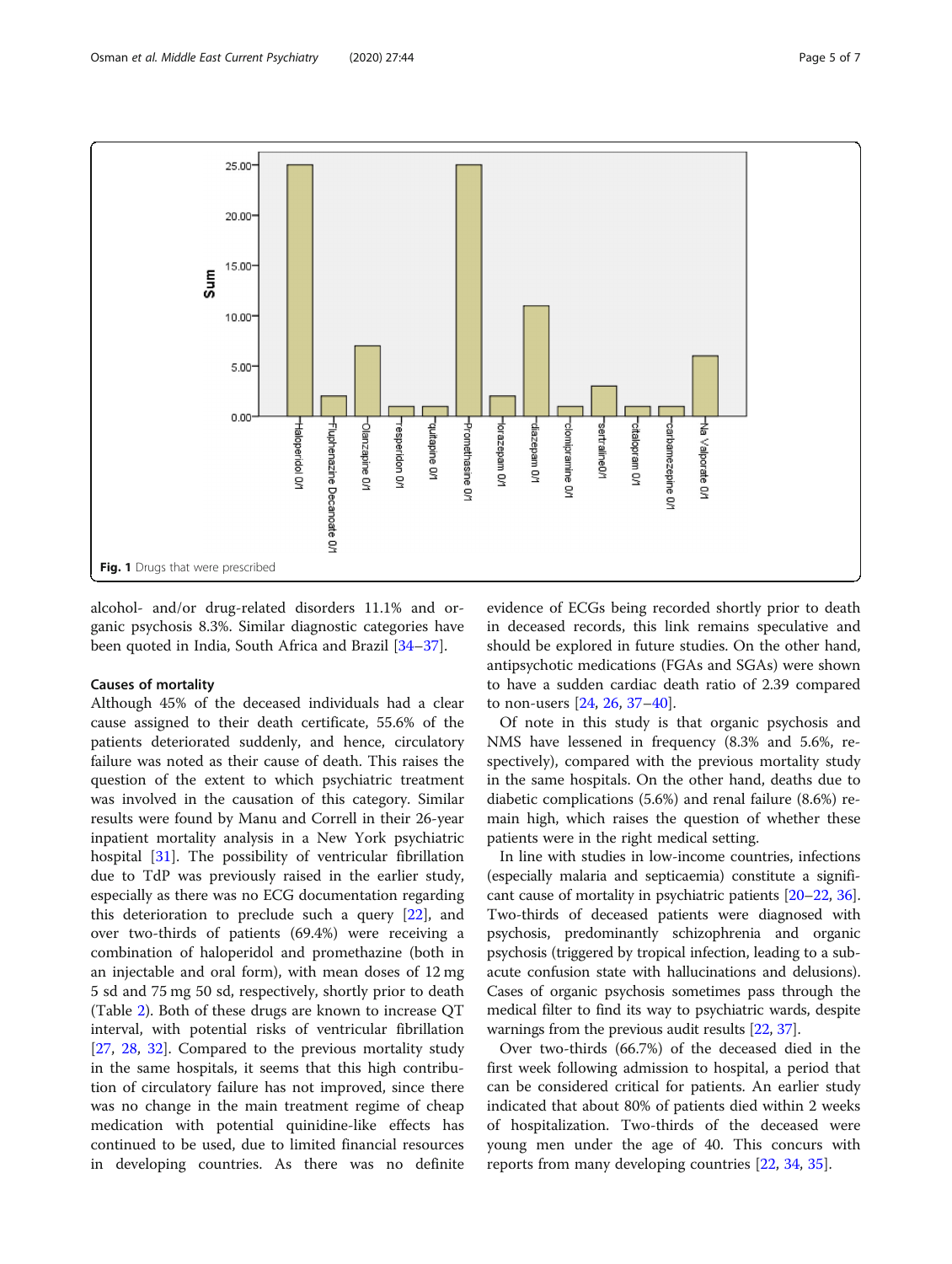<span id="page-4-0"></span>

alcohol- and/or drug-related disorders 11.1% and organic psychosis 8.3%. Similar diagnostic categories have been quoted in India, South Africa and Brazil [\[34](#page-6-0)–[37\]](#page-6-0).

# Causes of mortality

Although 45% of the deceased individuals had a clear cause assigned to their death certificate, 55.6% of the patients deteriorated suddenly, and hence, circulatory failure was noted as their cause of death. This raises the question of the extent to which psychiatric treatment was involved in the causation of this category. Similar results were found by Manu and Correll in their 26-year inpatient mortality analysis in a New York psychiatric hospital [\[31](#page-6-0)]. The possibility of ventricular fibrillation due to TdP was previously raised in the earlier study, especially as there was no ECG documentation regarding this deterioration to preclude such a query [[22\]](#page-6-0), and over two-thirds of patients (69.4%) were receiving a combination of haloperidol and promethazine (both in an injectable and oral form), with mean doses of 12 mg 5 sd and 75 mg 50 sd, respectively, shortly prior to death (Table [2\)](#page-3-0). Both of these drugs are known to increase QT interval, with potential risks of ventricular fibrillation [[27,](#page-6-0) [28,](#page-6-0) [32](#page-6-0)]. Compared to the previous mortality study in the same hospitals, it seems that this high contribution of circulatory failure has not improved, since there was no change in the main treatment regime of cheap medication with potential quinidine-like effects has continued to be used, due to limited financial resources in developing countries. As there was no definite

evidence of ECGs being recorded shortly prior to death in deceased records, this link remains speculative and should be explored in future studies. On the other hand, antipsychotic medications (FGAs and SGAs) were shown to have a sudden cardiac death ratio of 2.39 compared to non-users [[24](#page-6-0), [26](#page-6-0), [37](#page-6-0)–[40\]](#page-6-0).

Of note in this study is that organic psychosis and NMS have lessened in frequency (8.3% and 5.6%, respectively), compared with the previous mortality study in the same hospitals. On the other hand, deaths due to diabetic complications (5.6%) and renal failure (8.6%) remain high, which raises the question of whether these patients were in the right medical setting.

In line with studies in low-income countries, infections (especially malaria and septicaemia) constitute a significant cause of mortality in psychiatric patients [[20](#page-6-0)–[22,](#page-6-0) [36](#page-6-0)]. Two-thirds of deceased patients were diagnosed with psychosis, predominantly schizophrenia and organic psychosis (triggered by tropical infection, leading to a subacute confusion state with hallucinations and delusions). Cases of organic psychosis sometimes pass through the medical filter to find its way to psychiatric wards, despite warnings from the previous audit results [\[22,](#page-6-0) [37\]](#page-6-0).

Over two-thirds (66.7%) of the deceased died in the first week following admission to hospital, a period that can be considered critical for patients. An earlier study indicated that about 80% of patients died within 2 weeks of hospitalization. Two-thirds of the deceased were young men under the age of 40. This concurs with reports from many developing countries [[22,](#page-6-0) [34](#page-6-0), [35](#page-6-0)].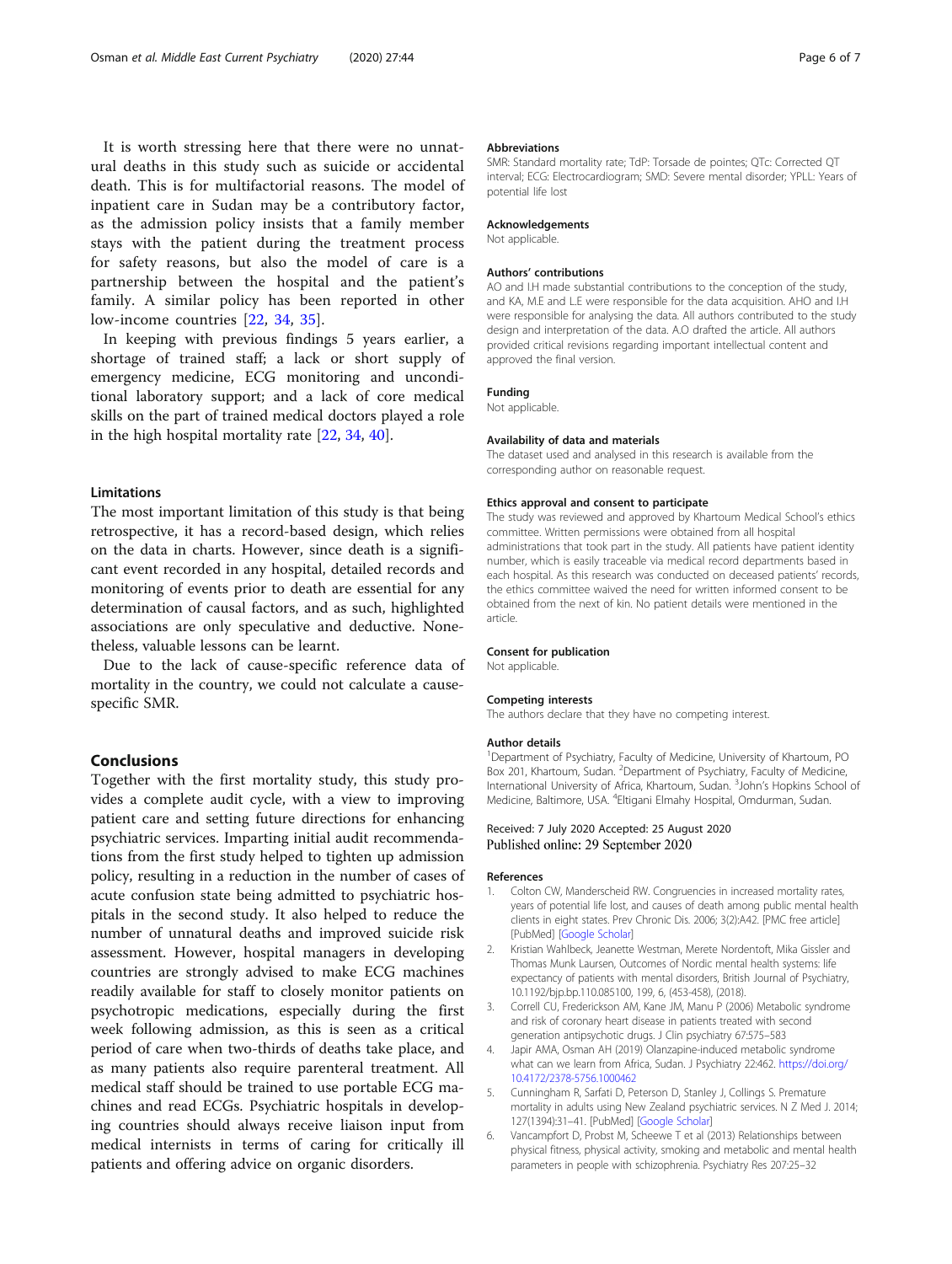<span id="page-5-0"></span>It is worth stressing here that there were no unnatural deaths in this study such as suicide or accidental death. This is for multifactorial reasons. The model of inpatient care in Sudan may be a contributory factor, as the admission policy insists that a family member stays with the patient during the treatment process for safety reasons, but also the model of care is a partnership between the hospital and the patient's family. A similar policy has been reported in other low-income countries [[22](#page-6-0), [34,](#page-6-0) [35\]](#page-6-0).

In keeping with previous findings 5 years earlier, a shortage of trained staff; a lack or short supply of emergency medicine, ECG monitoring and unconditional laboratory support; and a lack of core medical skills on the part of trained medical doctors played a role in the high hospital mortality rate [\[22](#page-6-0), [34,](#page-6-0) [40\]](#page-6-0).

## Limitations

The most important limitation of this study is that being retrospective, it has a record-based design, which relies on the data in charts. However, since death is a significant event recorded in any hospital, detailed records and monitoring of events prior to death are essential for any determination of causal factors, and as such, highlighted associations are only speculative and deductive. Nonetheless, valuable lessons can be learnt.

Due to the lack of cause-specific reference data of mortality in the country, we could not calculate a causespecific SMR.

# Conclusions

Together with the first mortality study, this study provides a complete audit cycle, with a view to improving patient care and setting future directions for enhancing psychiatric services. Imparting initial audit recommendations from the first study helped to tighten up admission policy, resulting in a reduction in the number of cases of acute confusion state being admitted to psychiatric hospitals in the second study. It also helped to reduce the number of unnatural deaths and improved suicide risk assessment. However, hospital managers in developing countries are strongly advised to make ECG machines readily available for staff to closely monitor patients on psychotropic medications, especially during the first week following admission, as this is seen as a critical period of care when two-thirds of deaths take place, and as many patients also require parenteral treatment. All medical staff should be trained to use portable ECG machines and read ECGs. Psychiatric hospitals in developing countries should always receive liaison input from medical internists in terms of caring for critically ill patients and offering advice on organic disorders.

#### Abbreviations

SMR: Standard mortality rate; TdP: Torsade de pointes; QTc: Corrected QT interval; ECG: Electrocardiogram; SMD: Severe mental disorder; YPLL: Years of potential life lost

#### Acknowledgements

Not applicable.

#### Authors' contributions

AO and I.H made substantial contributions to the conception of the study, and KA, M.E and L.E were responsible for the data acquisition. AHO and I.H were responsible for analysing the data. All authors contributed to the study design and interpretation of the data. A.O drafted the article. All authors provided critical revisions regarding important intellectual content and approved the final version.

#### Funding

Not applicable.

#### Availability of data and materials

The dataset used and analysed in this research is available from the corresponding author on reasonable request.

#### Ethics approval and consent to participate

The study was reviewed and approved by Khartoum Medical School's ethics committee. Written permissions were obtained from all hospital administrations that took part in the study. All patients have patient identity number, which is easily traceable via medical record departments based in each hospital. As this research was conducted on deceased patients' records, the ethics committee waived the need for written informed consent to be obtained from the next of kin. No patient details were mentioned in the article.

#### Consent for publication

Not applicable.

#### Competing interests

The authors declare that they have no competing interest.

#### Author details

<sup>1</sup>Department of Psychiatry, Faculty of Medicine, University of Khartoum, PC Box 201, Khartoum, Sudan. <sup>2</sup>Department of Psychiatry, Faculty of Medicine International University of Africa, Khartoum, Sudan. <sup>3</sup>John's Hopkins School of Medicine, Baltimore, USA. <sup>4</sup>Eltigani Elmahy Hospital, Omdurman, Sudan.

# Received: 7 July 2020 Accepted: 25 August 2020 Published online: 29 September 2020

#### References

- Colton CW, Manderscheid RW. Congruencies in increased mortality rates, years of potential life lost, and causes of death among public mental health clients in eight states. Prev Chronic Dis. 2006; 3(2):A42. [PMC free article] [PubMed] [\[Google Scholar\]](https://scholar.google.com/scholar_lookup?journal=Prev+Chronic+Dis&title=Congruencies+in+increased+mortality+rates,+years+of+potential+life+lost,+and+causes+of+death+among+public+mental+health+clients+in+eight+states&author=CW+Colton&author=RW+Manderscheid&volume=3&issue=2&publication_year=2006&pages=A42&pmid=16539783&)
- 2. Kristian Wahlbeck, Jeanette Westman, Merete Nordentoft, Mika Gissler and Thomas Munk Laursen, Outcomes of Nordic mental health systems: life expectancy of patients with mental disorders, British Journal of Psychiatry, 10.1192/bjp.bp.110.085100, 199, 6, (453-458), (2018).
- 3. Correll CU, Frederickson AM, Kane JM, Manu P (2006) Metabolic syndrome and risk of coronary heart disease in patients treated with second generation antipsychotic drugs. J Clin psychiatry 67:575–583
- 4. Japir AMA, Osman AH (2019) Olanzapine-induced metabolic syndrome what can we learn from Africa, Sudan. J Psychiatry 22:462. [https://doi.org/](https://doi.org/10.4172/2378-5756.1000462) [10.4172/2378-5756.1000462](https://doi.org/10.4172/2378-5756.1000462)
- 5. Cunningham R, Sarfati D, Peterson D, Stanley J, Collings S. Premature mortality in adults using New Zealand psychiatric services. N Z Med J. 2014; 127(1394):31–41. [PubMed] [[Google Scholar](https://scholar.google.com/scholar_lookup?journal=N+Z+Med+J&title=Premature+mortality+in+adults+using+New+Zealand+psychiatricservices&author=R+Cunningham&author=D+Sarfati&author=D+Peterson&author=J+Stanley&author=S+Collings&volume=127&issue=1394&publication_year=2014&pages=31-41&)]
- 6. Vancampfort D, Probst M, Scheewe T et al (2013) Relationships between physical fitness, physical activity, smoking and metabolic and mental health parameters in people with schizophrenia. Psychiatry Res 207:25–32